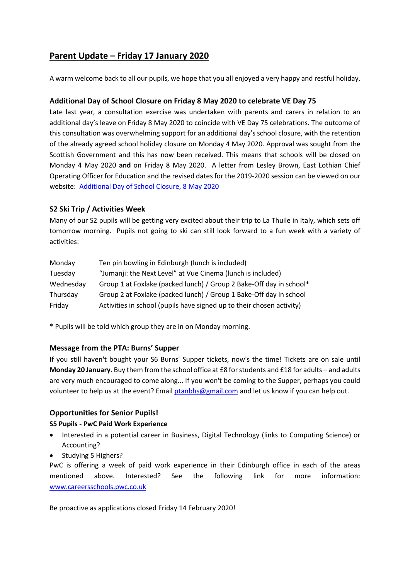# **Parent Update – Friday 17 January 2020**

A warm welcome back to all our pupils, we hope that you all enjoyed a very happy and restful holiday.

# **Additional Day of School Closure on Friday 8 May 2020 to celebrate VE Day 75**

Late last year, a consultation exercise was undertaken with parents and carers in relation to an additional day's leave on Friday 8 May 2020 to coincide with VE Day 75 celebrations. The outcome of this consultation was overwhelming support for an additional day's school closure, with the retention of the already agreed school holiday closure on Monday 4 May 2020. Approval was sought from the Scottish Government and this has now been received. This means that schools will be closed on Monday 4 May 2020 **and** on Friday 8 May 2020. A letter from Lesley Brown, East Lothian Chief Operating Officer for Education and the revised dates for the 2019-2020 session can be viewed on our website: [Additional Day of School Closure, 8 May 2020](https://www.edubuzz.org/northberwickhigh/2020/01/17/additional-days-school-closure-friday-8-may-2020-for-ve-day-75-celebrations/)

# **S2 Ski Trip / Activities Week**

Many of our S2 pupils will be getting very excited about their trip to La Thuile in Italy, which sets off tomorrow morning. Pupils not going to ski can still look forward to a fun week with a variety of activities:

| Monday    | Ten pin bowling in Edinburgh (lunch is included)                      |
|-----------|-----------------------------------------------------------------------|
| Tuesday   | "Jumanji: the Next Level" at Vue Cinema (lunch is included)           |
| Wednesday | Group 1 at Foxlake (packed lunch) / Group 2 Bake-Off day in school*   |
| Thursday  | Group 2 at Foxlake (packed lunch) / Group 1 Bake-Off day in school    |
| Friday    | Activities in school (pupils have signed up to their chosen activity) |

\* Pupils will be told which group they are in on Monday morning.

# **Message from the PTA: Burns' Supper**

If you still haven't bought your S6 Burns' Supper tickets, now's the time! Tickets are on sale until **Monday 20 January**. Buy them from the school office at £8 for students and £18 for adults – and adults are very much encouraged to come along... If you won't be coming to the Supper, perhaps you could volunteer to help us at the event? Email [ptanbhs@gmail.com](mailto:ptanbhs@gmail.com) and let us know if you can help out.

# **Opportunities for Senior Pupils!**

# **S5 Pupils - PwC Paid Work Experience**

- Interested in a potential career in Business, Digital Technology (links to Computing Science) or Accounting?
- Studying 5 Highers?

PwC is offering a week of paid work experience in their Edinburgh office in each of the areas mentioned above. Interested? See the following link for more information: [www.careersschools.pwc.co.uk](http://www.careersschools.pwc.co.uk/)

Be proactive as applications closed Friday 14 February 2020!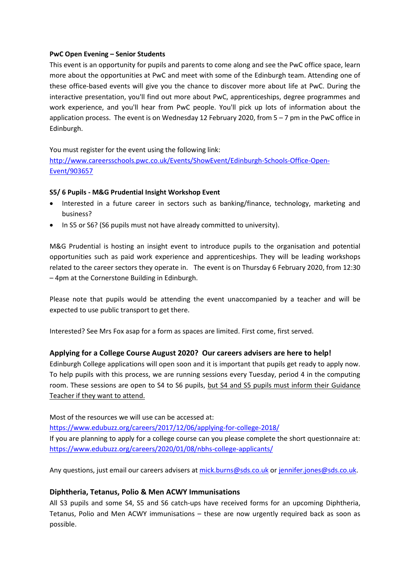#### **PwC Open Evening – Senior Students**

This event is an opportunity for pupils and parents to come along and see the PwC office space, learn more about the opportunities at PwC and meet with some of the Edinburgh team. Attending one of these office-based events will give you the chance to discover more about life at PwC. During the interactive presentation, you'll find out more about PwC, apprenticeships, degree programmes and work experience, and you'll hear from PwC people. You'll pick up lots of information about the application process. The event is on Wednesday 12 February 2020, from 5 – 7 pm in the PwC office in Edinburgh.

You must register for the event using the following link:

[http://www.careersschools.pwc.co.uk/Events/ShowEvent/Edinburgh-Schools-Office-Open-](http://www.careersschools.pwc.co.uk/Events/ShowEvent/Edinburgh-Schools-Office-Open-Event/903657)[Event/903657](http://www.careersschools.pwc.co.uk/Events/ShowEvent/Edinburgh-Schools-Office-Open-Event/903657)

#### **S5/ 6 Pupils - M&G Prudential Insight Workshop Event**

- Interested in a future career in sectors such as banking/finance, technology, marketing and business?
- In S5 or S6? (S6 pupils must not have already committed to university).

M&G Prudential is hosting an insight event to introduce pupils to the organisation and potential opportunities such as paid work experience and apprenticeships. They will be leading workshops related to the career sectors they operate in. The event is on Thursday 6 February 2020, from 12:30 – 4pm at the Cornerstone Building in Edinburgh.

Please note that pupils would be attending the event unaccompanied by a teacher and will be expected to use public transport to get there.

Interested? See Mrs Fox asap for a form as spaces are limited. First come, first served.

# **Applying for a College Course August 2020? Our careers advisers are here to help!**

Edinburgh College applications will open soon and it is important that pupils get ready to apply now. To help pupils with this process, we are running sessions every Tuesday, period 4 in the computing room. These sessions are open to S4 to S6 pupils, but S4 and S5 pupils must inform their Guidance Teacher if they want to attend.

Most of the resources we will use can be accessed at:

<https://www.edubuzz.org/careers/2017/12/06/applying-for-college-2018/>

If you are planning to apply for a college course can you please complete the short questionnaire at: <https://www.edubuzz.org/careers/2020/01/08/nbhs-college-applicants/>

Any questions, just email our careers advisers at [mick.burns@sds.co.uk](mailto:mick.burns@sds.co.uk) o[r jennifer.jones@sds.co.uk.](mailto:jennifer.jones@sds.co.uk)

# **Diphtheria, Tetanus, Polio & Men ACWY Immunisations**

All S3 pupils and some S4, S5 and S6 catch-ups have received forms for an upcoming Diphtheria, Tetanus, Polio and Men ACWY immunisations – these are now urgently required back as soon as possible.